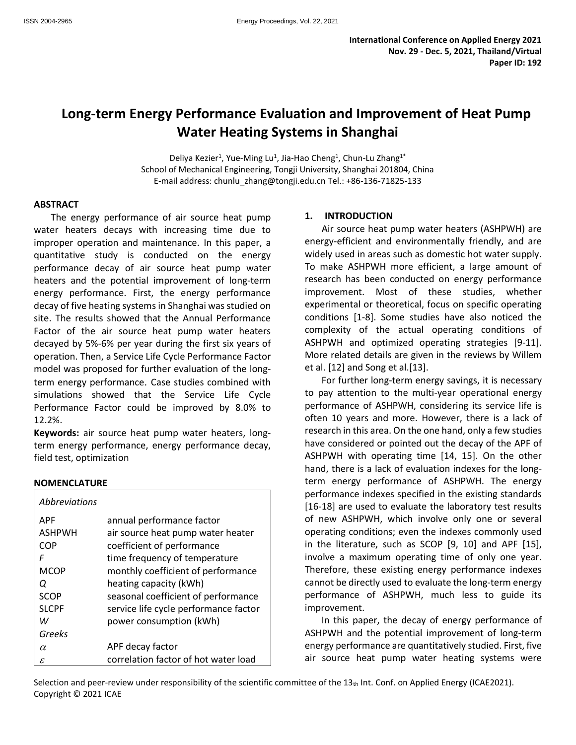# **Long-term Energy Performance Evaluation and Improvement of Heat Pump Water Heating Systems in Shanghai**

Deliya Kezier<sup>1</sup>, Yue-Ming Lu<sup>1</sup>, Jia-Hao Cheng<sup>1</sup>, Chun-Lu Zhang<sup>1\*</sup> School of Mechanical Engineering, Tongji University, Shanghai 201804, China E-mail address: chunlu\_zhang@tongji.edu.cn Tel.: +86-136-71825-133

#### **ABSTRACT**

The energy performance of air source heat pump water heaters decays with increasing time due to improper operation and maintenance. In this paper, a quantitative study is conducted on the energy performance decay of air source heat pump water heaters and the potential improvement of long-term energy performance. First, the energy performance decay of five heating systems in Shanghai was studied on site. The results showed that the Annual Performance Factor of the air source heat pump water heaters decayed by 5%-6% per year during the first six years of operation. Then, a Service Life Cycle Performance Factor model was proposed for further evaluation of the longterm energy performance. Case studies combined with simulations showed that the Service Life Cycle Performance Factor could be improved by 8.0% to 12.2%.

**Keywords:** air source heat pump water heaters, longterm energy performance, energy performance decay, field test, optimization

## **NOMENCLATURE**

| <i>Abbreviations</i> |                                       |
|----------------------|---------------------------------------|
| <b>APF</b>           | annual performance factor             |
| <b>ASHPWH</b>        | air source heat pump water heater     |
| COP                  | coefficient of performance            |
| F                    | time frequency of temperature         |
| <b>MCOP</b>          | monthly coefficient of performance    |
| Ο                    | heating capacity (kWh)                |
| SCOP                 | seasonal coefficient of performance   |
| <b>SLCPF</b>         | service life cycle performance factor |
| w                    | power consumption (kWh)               |
| Greeks               |                                       |
| α                    | APF decay factor                      |
| ε                    | correlation factor of hot water load  |

## **1. INTRODUCTION**

Air source heat pump water heaters (ASHPWH) are energy-efficient and environmentally friendly, and are widely used in areas such as domestic hot water supply. To make ASHPWH more efficient, a large amount of research has been conducted on energy performance improvement. Most of these studies, whether experimental or theoretical, focus on specific operating conditions [1-8]. Some studies have also noticed the complexity of the actual operating conditions of ASHPWH and optimized operating strategies [9-11]. More related details are given in the reviews by Willem et al. [12] and Song et al.[13].

For further long-term energy savings, it is necessary to pay attention to the multi-year operational energy performance of ASHPWH, considering its service life is often 10 years and more. However, there is a lack of research in this area. On the one hand, only a few studies have considered or pointed out the decay of the APF of ASHPWH with operating time [14, 15]. On the other hand, there is a lack of evaluation indexes for the longterm energy performance of ASHPWH. The energy performance indexes specified in the existing standards [16-18] are used to evaluate the laboratory test results of new ASHPWH, which involve only one or several operating conditions; even the indexes commonly used in the literature, such as SCOP [9, 10] and APF [15], involve a maximum operating time of only one year. Therefore, these existing energy performance indexes cannot be directly used t[o evaluate](javascript:;) the long-term energy performance of ASHPWH, much less to guide its improvement.

In this paper, the decay of energy performance of ASHPWH and the potential improvement of long-term energy performance are quantitatively studied. First, five air source heat pump water heating systems were

Selection and peer-review under responsibility of the scientific committee of the  $13<sub>th</sub>$  Int. Conf. on Applied Energy (ICAE2021). Copyright © 2021 ICAE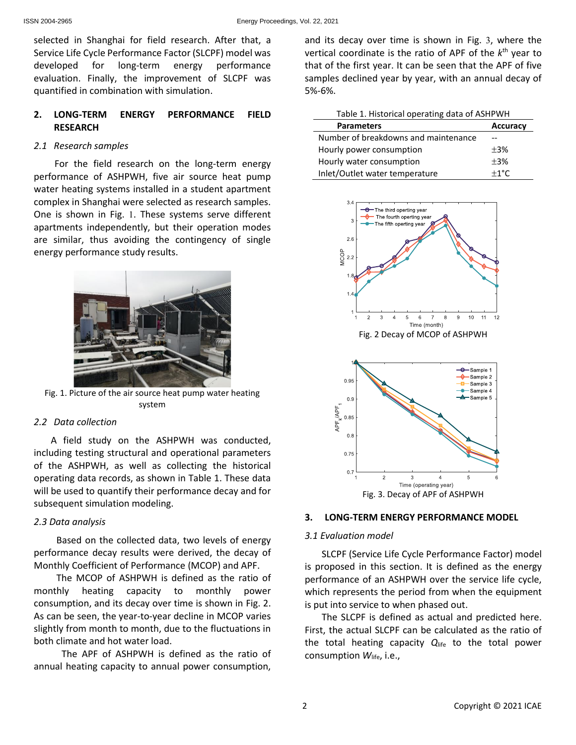selected in Shanghai for field research. After that, a Service Life Cycle Performance Factor (SLCPF) model was developed for long-term energy performance evaluation. Finally, the improvement of SLCPF was quantified in combination with simulation.

# **2. LONG-TERM ENERGY PERFORMANCE FIELD RESEARCH**

# *2.1 Research samples*

For the field research on the long-term energy performance of ASHPWH, five air source heat pump water heating systems installed in a student apartment complex in Shanghai were selected as research samples. One is shown in [Fig.](#page-1-0) 1. These systems serve different apartments independently, but their operation modes are similar, thus avoiding the contingency of single energy performance study results.



Fig. 1. Picture of the air source heat pump water heating system

## <span id="page-1-0"></span>*2.2 Data collection*

A field study on the ASHPWH was conducted, including testing structural and operational parameters of the ASHPWH, as well as collecting the historical operating data records, as shown in [Table 1.](#page-1-1) These data will be used to quantify their performance decay and for subsequent simulation modeling.

# *2.3 Data analysis*

Based on the collected data, two levels of energy performance decay results were derived, the decay of Monthly Coefficient of Performance (MCOP) and APF.

The MCOP of ASHPWH is defined as the ratio of monthly heating capacity to monthly power consumption, and its decay over time is shown in [Fig. 2.](#page-1-2) As can be seen, the year-to-year decline in MCOP varies slightly from month to month, due to the fluctuations in both climate and hot water load.

The APF of ASHPWH is defined as the ratio of annual heating capacity to annual power consumption, and its decay over time is shown in [Fig.](#page-1-3) 3, where the vertical coordinate is the ratio of APF of the *k* th year to that of the first year. It can be seen that the APF of five samples declined year by year, with an annual decay of 5%-6%.

<span id="page-1-1"></span>

| Table 1. Historical operating data of ASHPWH |                 |  |  |
|----------------------------------------------|-----------------|--|--|
| <b>Parameters</b>                            | <b>Accuracy</b> |  |  |
| Number of breakdowns and maintenance         |                 |  |  |
| Hourly power consumption                     | $\pm$ 3%        |  |  |
| Hourly water consumption                     | $\pm$ 3%        |  |  |
| Inlet/Outlet water temperature               | $+1^{\circ}$ C  |  |  |

<span id="page-1-2"></span>

Fig. 3. Decay of APF of ASHPWH

# <span id="page-1-3"></span>**3. LONG-TERM ENERGY PERFORMANCE MODEL**

## *3.1 Evaluation model*

SLCPF (Service Life Cycle Performance Factor) model is proposed in this section. It is defined as the energy performance of an ASHPWH over the service life cycle, which represents the period from when the equipment is put into service to when phased out.

The SLCPF is defined as actual and predicted here. First, the actual SLCPF can be calculated as the ratio of the total heating capacity *Q*life to the total power consumption *W*life, i.e.,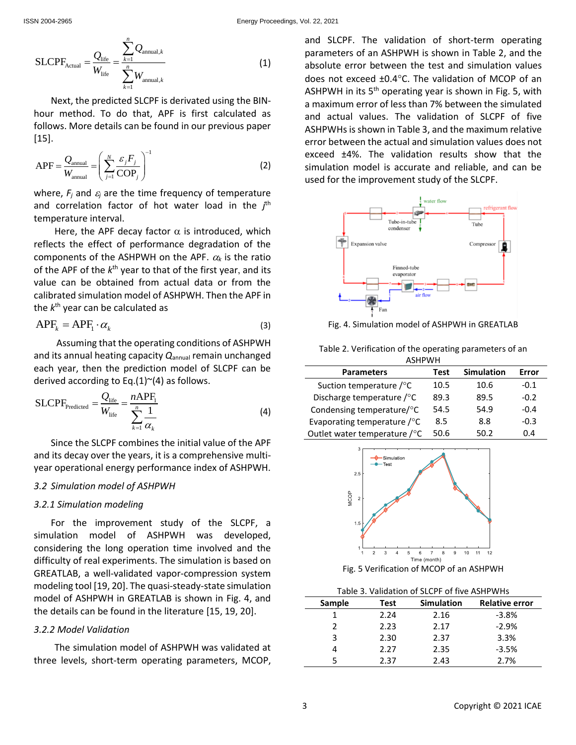$$
\text{SLCPF}_{\text{Actual}} = \frac{Q_{\text{life}}}{W_{\text{life}}} = \frac{\sum_{k=1}^{n} Q_{\text{annual},k}}{\sum_{k=1}^{n} W_{\text{annual},k}}
$$
(1)

Next, the predicted SLCPF is derivated using the BINhour method. To do that, APF is first calculated as follows. More details can be found in our previous paper [15].

APF = 
$$
\frac{Q_{\text{annual}}}{W_{\text{annual}}} = \left(\sum_{j=1}^{N} \frac{\varepsilon_j F_j}{COP_j}\right)^{-1}
$$
 (2)

where,  $F_i$  and  $\varepsilon_i$  are the time frequency of temperature and correlation factor of hot water load in the *j*<sup>th</sup> temperature interval.

Here, the APF decay factor  $\alpha$  is introduced, which reflects the effect of performance degradation of the components of the ASHPWH on the APF.  $\alpha_k$  is the ratio of the APF of the  $k^{\text{th}}$  year to that of the first year, and its value can be obtained from actual data or from the calibrated simulation model of ASHPWH. Then the APF in the  $k^{\text{th}}$  year can be calculated as

$$
APF_k = APF_1 \cdot \alpha_k \tag{3}
$$

Assuming that the operating conditions of ASHPWH and its annual heating capacity *Q*annual remain unchanged each year, then the prediction model of SLCPF can be derived according to Eq[.\(1\)](#page-2-0) $\sim$ (4) as follows.

SLCPF<sub>predicted</sub> = 
$$
\frac{Q_{\text{life}}}{W_{\text{life}}} = \frac{nAPF_1}{\sum_{k=1}^{n} \frac{1}{\alpha_k}}
$$
 (4)

Since the SLCPE combines the initial value of the APF and its decay over the years, it is a comprehensive multiyear operational energy performance index of ASHPWH.

#### *3.2 Simulation model of ASHPWH*

#### *3.2.1 Simulation modeling*

For the improvement study of the SLCPF, a simulation model of ASHPWH was developed, considering the long operation time involved and the difficulty of real experiments. The simulation is based on GREATLAB, a well-validated vapor-compression system modeling tool [19, 20]. The quasi-steady-state simulation model of ASHPWH in GREATLAB is shown in [Fig.](#page-2-2) 4, and the details can be found in the literature [15, 19, 20].

#### *3.2.2 Model Validation*

The simulation model of ASHPWH was validated at three levels, short-term operating parameters, MCOP, <span id="page-2-0"></span>and SLCPF. The validation of short-term operating parameters of an ASHPWH is shown in [Table 2,](#page-2-3) and the absolute error between the test and simulation values does not exceed  $\pm 0.4^{\circ}$ C. The validation of MCOP of an ASHPWH in its  $5<sup>th</sup>$  operating year is shown in [Fig. 5,](#page-2-4) with a maximum error of less than 7% between the simulated and actual values. The validation of SLCPF of five ASHPWHs is shown in [Table 3,](#page-2-5) and the maximum relative error between the actual and simulation values does not exceed ±4%. The validation results show that the simulation model is accurate and reliable, and can be used for the improvement study of the SLCPF.



<span id="page-2-2"></span>Fig. 4. Simulation model of ASHPWH in GREATLAB

<span id="page-2-3"></span>

| Table 2. Verification of the operating parameters of an |
|---------------------------------------------------------|
| <b>ASHPWH</b>                                           |

<span id="page-2-1"></span>

| <b>Parameters</b>                      | Test | <b>Simulation</b> | Error  |
|----------------------------------------|------|-------------------|--------|
| Suction temperature $\sqrt{\ }$ C      | 10.5 | 10.6              | $-0.1$ |
| Discharge temperature /°C              | 89.3 | 89.5              | $-0.2$ |
| Condensing temperature/°C              | 54.5 | 54.9              | $-0.4$ |
| Evaporating temperature $\sqrt{\ }$ C  | 8.5  | 8.8               | $-0.3$ |
| Outlet water temperature $\sqrt{\ }$ C | 50.6 | 50.2              | በ 4    |



Fig. 5 Verification of MCOP of an ASHPWH

| Table 3. Validation of SLCPF of five ASHPWHs |  |
|----------------------------------------------|--|
|----------------------------------------------|--|

<span id="page-2-5"></span><span id="page-2-4"></span>

| Sample | Test | <b>Simulation</b> | <b>Relative error</b> |
|--------|------|-------------------|-----------------------|
|        | 2.24 | 2.16              | $-3.8%$               |
|        | 2.23 | 2.17              | $-2.9%$               |
| ς      | 2.30 | 2.37              | 3.3%                  |
|        | 2.27 | 2.35              | $-3.5%$               |
|        | 2.37 | 2.43              | 2.7%                  |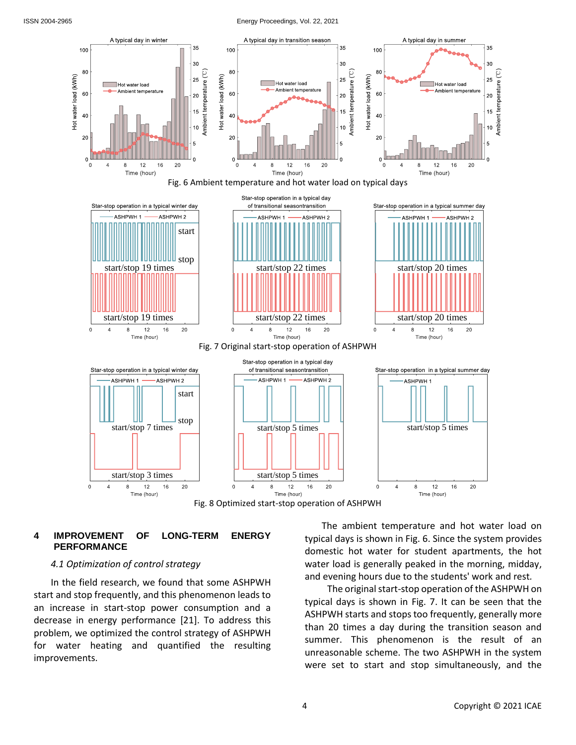<span id="page-3-0"></span>Hot water load (kWh)

#### ISSN 2004-2965 Energy Proceedings, Vol. 22, 2021



Fig. 8 Optimized start-stop operation of ASHPWH

# <span id="page-3-2"></span><span id="page-3-1"></span>**4 IMPROVEMENT OF LONG-TERM ENERGY PERFORMANCE**

## *4.1 Optimization of control strategy*

In the field research, we found that some ASHPWH start and stop frequently, and this phenomenon leads to an increase in start-stop power consumption and a decrease in energy performance [21]. To address this problem, we optimized the control strategy of ASHPWH for water heating and quantified the resulting improvements.

The ambient temperature and hot water load on typical days is shown in [Fig. 6.](#page-3-0) Since the system provides domestic hot water for student apartments, the hot water load is generally peaked in the morning, midday, and evening hours due to the students' work and rest*.* 

The original start-stop operation of the ASHPWH on typical days is shown in [Fig. 7.](#page-3-1) It can be seen that the ASHPWH starts and stops too frequently, generally more than 20 times a day during the transition season and summer. This phenomenon is the result of an unreasonable scheme. The two ASHPWH in the system were set to start and stop simultaneously, and the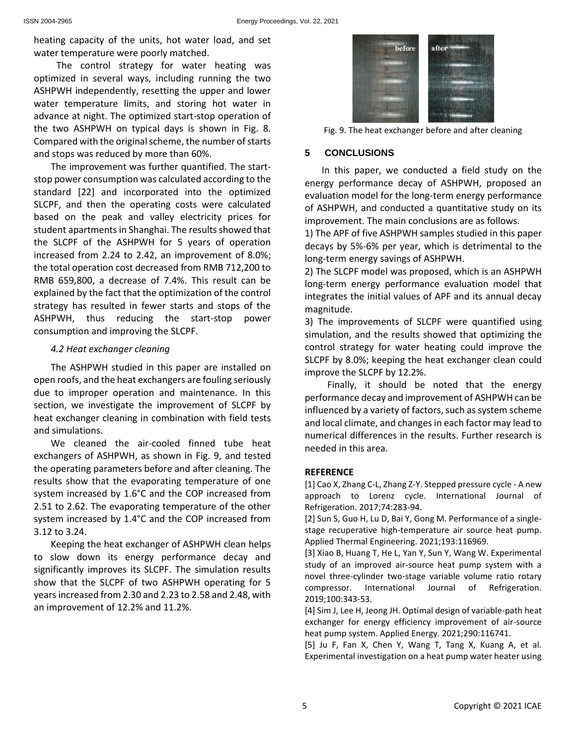heating capacity of the units, hot water load, and set water temperature were poorly matched.

The control strategy for water heating was optimized in several ways, including running the two ASHPWH independently, resetting the upper and lower water temperature limits, and storing hot water in advance at night. The optimized start-stop operation of the two ASHPWH on typical days is shown in [Fig. 8.](#page-3-2) Compared with the original scheme, the number of starts and stops was reduced by more than 60%.

The improvement was further quantified. The startstop power consumption was calculated according to the standard [22] and incorporated into the optimized SLCPF, and then the operating costs were calculated based on the peak and valley electricity prices for student apartments in Shanghai. The results showed that the SLCPF of the ASHPWH for 5 years of operation increased from 2.24 to 2.42, an improvement of 8.0%; the total operation cost decreased from RMB 712,200 to RMB 659,800, a decrease of 7.4%. This result can be explained by the fact that the optimization of the control strategy has resulted in fewer starts and stops of the ASHPWH, thus reducing the start-stop power consumption and improving the SLCPF.

# *4.2 Heat exchanger cleaning*

The ASHPWH studied in this paper are installed on open roofs, and the heat exchangers are fouling seriously due to improper operation and maintenance. In this section, we investigate the improvement of SLCPF by heat exchanger cleaning in combination with field tests and simulations.

We cleaned the air-cooled finned tube heat exchangers of ASHPWH, as shown in [Fig. 9,](#page-4-0) and tested the operating parameters before and after cleaning. The results show that the evaporating temperature of one system increased by 1.6°C and the COP increased from 2.51 to 2.62. The evaporating temperature of the other system increased by 1.4°C and the COP increased from 3.12 to 3.24.

Keeping the heat exchanger of ASHPWH clean helps to slow down its energy performance decay and significantly improves its SLCPF. The simulation results show that the SLCPF of two ASHPWH operating for 5 years increased from 2.30 and 2.23 to 2.58 and 2.48, with an improvement of 12.2% and 11.2%.



Fig. 9. The heat exchanger before and after cleaning

# <span id="page-4-0"></span>**5 CONCLUSIONS**

In this paper, we conducted a field study on the energy performance decay of ASHPWH, proposed an evaluation model for the long-term energy performance of ASHPWH, and conducted a quantitative study on its improvement. The main conclusions are as follows.

1) The APF of five ASHPWH samples studied in this paper decays by 5%-6% per year, which is detrimental to the long-term energy savings of ASHPWH.

2) The SLCPF model was proposed, which is an ASHPWH long-term energy performance evaluation model that integrates the initial values of APF and its annual decay magnitude.

3) The improvements of SLCPF were quantified using simulation, and the results showed that optimizing the control strategy for water heating could improve the SLCPF by 8.0%; keeping the heat exchanger clean could improve the SLCPF by 12.2%.

Finally, it should be noted that the energy performance decay and improvement of ASHPWH can be influenced by a variety of factors, such as system scheme and local climate, and changes in each factor may lead to numerical differences in the results. Further research is needed in this area.

# **REFERENCE**

[1] Cao X, Zhang C-L, Zhang Z-Y. Stepped pressure cycle - A new approach to Lorenz cycle. International Journal of Refrigeration. 2017;74:283-94.

[2] Sun S, Guo H, Lu D, Bai Y, Gong M. Performance of a singlestage recuperative high-temperature air source heat pump. Applied Thermal Engineering. 2021;193:116969.

[3] Xiao B, Huang T, He L, Yan Y, Sun Y, Wang W. Experimental study of an improved air-source heat pump system with a novel three-cylinder two-stage variable volume ratio rotary compressor. International Journal of Refrigeration. 2019;100:343-53.

[4] Sim J, Lee H, Jeong JH. Optimal design of variable-path heat exchanger for energy efficiency improvement of air-source heat pump system. Applied Energy. 2021;290:116741.

[5] Ju F, Fan X, Chen Y, Wang T, Tang X, Kuang A, et al. Experimental investigation on a heat pump water heater using